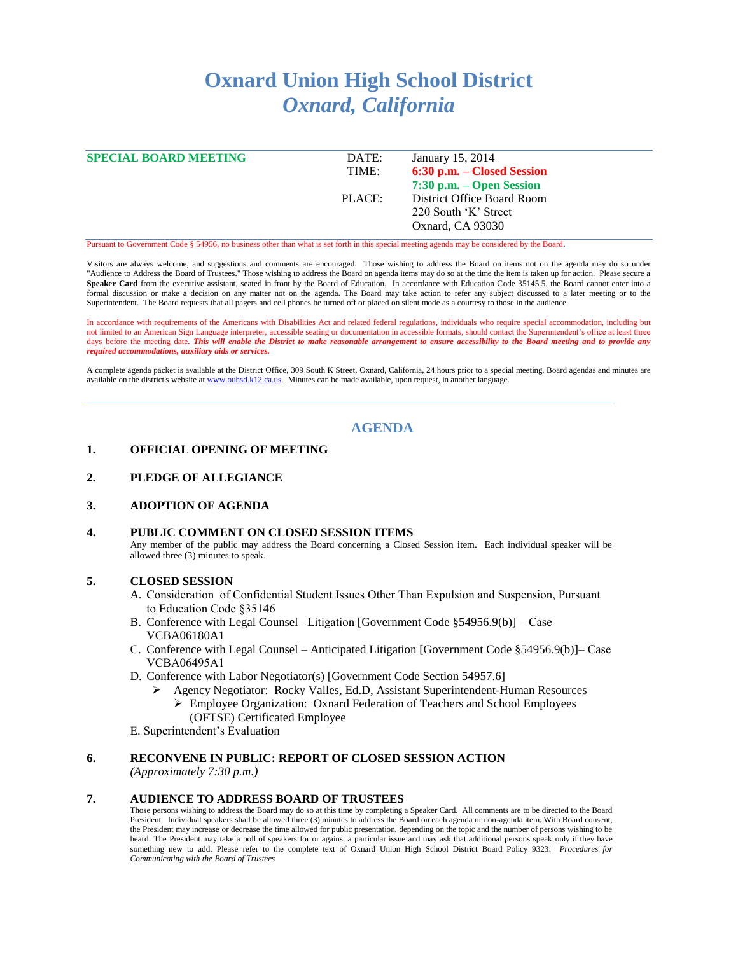# **Oxnard Union High School District** *Oxnard, California*

| <b>SPECIAL BOARD MEETING</b> | DATE:  | January 15, 2014             |
|------------------------------|--------|------------------------------|
|                              | TIME:  | 6:30 p.m. – Closed Session   |
|                              |        | $7:30$ p.m. $-$ Open Session |
|                              | PLACE: | District Office Board Room   |
|                              |        | 220 South 'K' Street         |
|                              |        | Oxnard, CA 93030             |
|                              |        |                              |

Pursuant to Government Code § 54956, no business other than what is set forth in this special meeting agenda may be considered by the Board.

Visitors are always welcome, and suggestions and comments are encouraged. Those wishing to address the Board on items not on the agenda may do so under "Audience to Address the Board of Trustees." Those wishing to address the Board on agenda items may do so at the time the item is taken up for action. Please secure a Speaker Card from the executive assistant, seated in front by the Board of Education. In accordance with Education Code 35145.5, the Board cannot enter into a formal discussion or make a decision on any matter not on the agenda. The Board may take action to refer any subject discussed to a later meeting or to the Superintendent. The Board requests that all pagers and cell phones be turned off or placed on silent mode as a courtesy to those in the audience.

In accordance with requirements of the Americans with Disabilities Act and related federal regulations, individuals who require special accommodation, including but not limited to an American Sign Language interpreter, accessible seating or documentation in accessible formats, should contact the Superintendent's office at least three days before the meeting date. This will enable the District to make reasonable arrangement to ensure accessibility to the Board meeting and to provide any *required accommodations, auxiliary aids or services.*

A complete agenda packet is available at the District Office, 309 South K Street, Oxnard, California, 24 hours prior to a special meeting. Board agendas and minutes are available on the district's website a[t www.ouhsd.k12.ca.us.](http://www.ouhsd.k12.ca.us/) Minutes can be made available, upon request, in another language.

# **AGENDA**

## **1. OFFICIAL OPENING OF MEETING**

- **2. PLEDGE OF ALLEGIANCE**
- **3. ADOPTION OF AGENDA**

#### **4. PUBLIC COMMENT ON CLOSED SESSION ITEMS**

Any member of the public may address the Board concerning a Closed Session item. Each individual speaker will be allowed three (3) minutes to speak.

#### **5. CLOSED SESSION**

- A. Consideration of Confidential Student Issues Other Than Expulsion and Suspension, Pursuant to Education Code §35146
- B. Conference with Legal Counsel –Litigation [Government Code §54956.9(b)] Case VCBA06180A1
- C. Conference with Legal Counsel Anticipated Litigation [Government Code §54956.9(b)]– Case VCBA06495A1
- D. Conference with Labor Negotiator(s) [Government Code Section 54957.6]
	- Agency Negotiator: Rocky Valles, Ed.D, Assistant Superintendent-Human Resources Employee Organization: Oxnard Federation of Teachers and School Employees
		- (OFTSE) Certificated Employee
- E. Superintendent's Evaluation

## **6. RECONVENE IN PUBLIC: REPORT OF CLOSED SESSION ACTION**

*(Approximately 7:30 p.m.)*

#### **7. AUDIENCE TO ADDRESS BOARD OF TRUSTEES**

Those persons wishing to address the Board may do so at this time by completing a Speaker Card. All comments are to be directed to the Board President. Individual speakers shall be allowed three (3) minutes to address the Board on each agenda or non-agenda item. With Board consent, the President may increase or decrease the time allowed for public presentation, depending on the topic and the number of persons wishing to be heard. The President may take a poll of speakers for or against a particular issue and may ask that additional persons speak only if they have something new to add. Please refer to the complete text of Oxnard Union High School District Board Policy 9323: *Procedures for Communicating with the Board of Trustees*